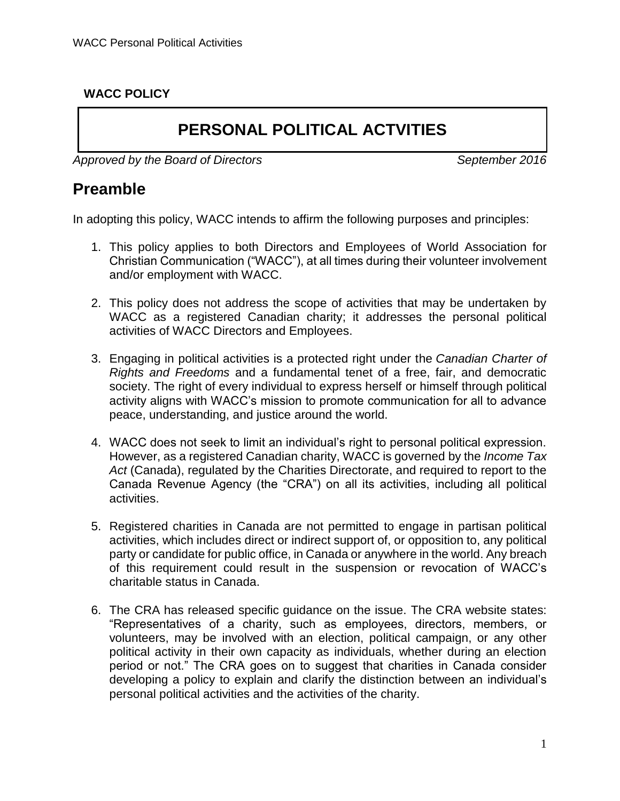### **WACC POLICY**

# **PERSONAL POLITICAL ACTVITIES**

Approved by the Board of Directors Approved by the Board of Directors September 2016

### **Preamble**

In adopting this policy, WACC intends to affirm the following purposes and principles:

- 1. This policy applies to both Directors and Employees of World Association for Christian Communication ("WACC"), at all times during their volunteer involvement and/or employment with WACC.
- 2. This policy does not address the scope of activities that may be undertaken by WACC as a registered Canadian charity; it addresses the personal political activities of WACC Directors and Employees.
- 3. Engaging in political activities is a protected right under the *Canadian Charter of Rights and Freedoms* and a fundamental tenet of a free, fair, and democratic society. The right of every individual to express herself or himself through political activity aligns with WACC's mission to promote communication for all to advance peace, understanding, and justice around the world.
- 4. WACC does not seek to limit an individual's right to personal political expression. However, as a registered Canadian charity, WACC is governed by the *Income Tax Act* (Canada), regulated by the Charities Directorate, and required to report to the Canada Revenue Agency (the "CRA") on all its activities, including all political activities.
- 5. Registered charities in Canada are not permitted to engage in partisan political activities, which includes direct or indirect support of, or opposition to, any political party or candidate for public office, in Canada or anywhere in the world. Any breach of this requirement could result in the suspension or revocation of WACC's charitable status in Canada.
- 6. The CRA has released specific guidance on the issue. The CRA website states: "Representatives of a charity, such as employees, directors, members, or volunteers, may be involved with an election, political campaign, or any other political activity in their own capacity as individuals, whether during an election period or not." The CRA goes on to suggest that charities in Canada consider developing a policy to explain and clarify the distinction between an individual's personal political activities and the activities of the charity.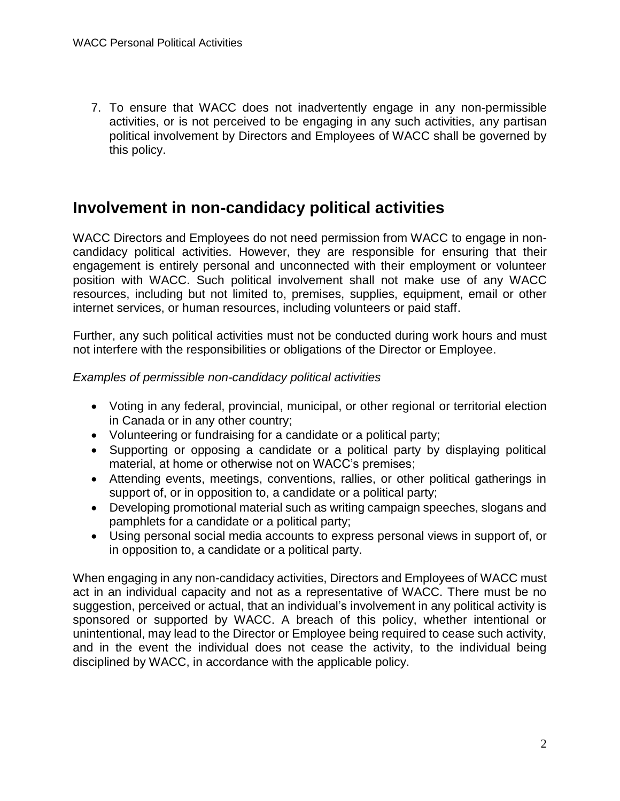7. To ensure that WACC does not inadvertently engage in any non-permissible activities, or is not perceived to be engaging in any such activities, any partisan political involvement by Directors and Employees of WACC shall be governed by this policy.

## **Involvement in non-candidacy political activities**

WACC Directors and Employees do not need permission from WACC to engage in noncandidacy political activities. However, they are responsible for ensuring that their engagement is entirely personal and unconnected with their employment or volunteer position with WACC. Such political involvement shall not make use of any WACC resources, including but not limited to, premises, supplies, equipment, email or other internet services, or human resources, including volunteers or paid staff.

Further, any such political activities must not be conducted during work hours and must not interfere with the responsibilities or obligations of the Director or Employee.

#### *Examples of permissible non-candidacy political activities*

- Voting in any federal, provincial, municipal, or other regional or territorial election in Canada or in any other country;
- Volunteering or fundraising for a candidate or a political party;
- Supporting or opposing a candidate or a political party by displaying political material, at home or otherwise not on WACC's premises;
- Attending events, meetings, conventions, rallies, or other political gatherings in support of, or in opposition to, a candidate or a political party;
- Developing promotional material such as writing campaign speeches, slogans and pamphlets for a candidate or a political party;
- Using personal social media accounts to express personal views in support of, or in opposition to, a candidate or a political party.

When engaging in any non-candidacy activities, Directors and Employees of WACC must act in an individual capacity and not as a representative of WACC. There must be no suggestion, perceived or actual, that an individual's involvement in any political activity is sponsored or supported by WACC. A breach of this policy, whether intentional or unintentional, may lead to the Director or Employee being required to cease such activity, and in the event the individual does not cease the activity, to the individual being disciplined by WACC, in accordance with the applicable policy.